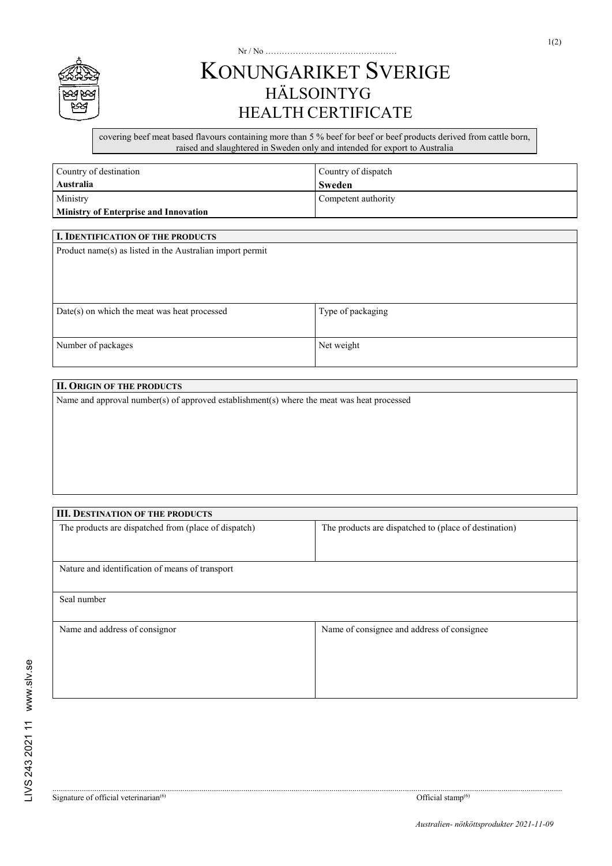

## KONUNGARIKET SVERIGE HÄLSOINTYG HEALTH CERTIFICATE

Nr / No …………………………………………

covering beef meat based flavours containing more than 5 % beef for beef or beef products derived from cattle born, raised and slaughtered in Sweden only and intended for export to Australia

| Country of destination                       | Country of dispatch |  |
|----------------------------------------------|---------------------|--|
| Australia                                    | Sweden              |  |
| Ministry                                     | Competent authority |  |
| <b>Ministry of Enterprise and Innovation</b> |                     |  |

| I. IDENTIFICATION OF THE PRODUCTS                         |                   |  |  |
|-----------------------------------------------------------|-------------------|--|--|
| Product name(s) as listed in the Australian import permit |                   |  |  |
|                                                           |                   |  |  |
|                                                           |                   |  |  |
|                                                           |                   |  |  |
|                                                           |                   |  |  |
| $Date(s)$ on which the meat was heat processed            | Type of packaging |  |  |
|                                                           |                   |  |  |
| Number of packages                                        | Net weight        |  |  |
|                                                           |                   |  |  |

## **II. ORIGIN OF THE PRODUCTS**

Name and approval number(s) of approved establishment(s) where the meat was heat processed

| <b>III. DESTINATION OF THE PRODUCTS</b>              |                                                       |  |  |  |
|------------------------------------------------------|-------------------------------------------------------|--|--|--|
| The products are dispatched from (place of dispatch) | The products are dispatched to (place of destination) |  |  |  |
|                                                      |                                                       |  |  |  |
|                                                      |                                                       |  |  |  |
| Nature and identification of means of transport      |                                                       |  |  |  |
|                                                      |                                                       |  |  |  |
| Seal number                                          |                                                       |  |  |  |
|                                                      |                                                       |  |  |  |
| Name and address of consignor                        | Name of consignee and address of consignee            |  |  |  |
|                                                      |                                                       |  |  |  |
|                                                      |                                                       |  |  |  |
|                                                      |                                                       |  |  |  |
|                                                      |                                                       |  |  |  |
|                                                      |                                                       |  |  |  |